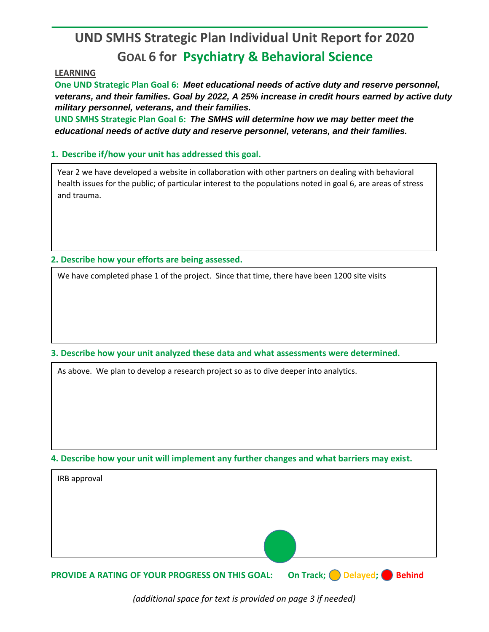## **UND SMHS Strategic Plan Individual Unit Report for 2020 GOAL 6 for Psychiatry & Behavioral Science**

## **LEARNING**

**One UND Strategic Plan Goal 6:** *Meet educational needs of active duty and reserve personnel, veterans, and their families. Goal by 2022, A 25% increase in credit hours earned by active duty military personnel, veterans, and their families.*

**UND SMHS Strategic Plan Goal 6:** *The SMHS will determine how we may better meet the educational needs of active duty and reserve personnel, veterans, and their families.*

## **1. Describe if/how your unit has addressed this goal.**

Year 2 we have developed a website in collaboration with other partners on dealing with behavioral health issues for the public; of particular interest to the populations noted in goal 6, are areas of stress and trauma.

**2. Describe how your efforts are being assessed.** 

We have completed phase 1 of the project. Since that time, there have been 1200 site visits

**3. Describe how your unit analyzed these data and what assessments were determined.** 

As above. We plan to develop a research project so as to dive deeper into analytics.

**4. Describe how your unit will implement any further changes and what barriers may exist.**

| IRB approval |  |
|--------------|--|
|              |  |
|              |  |
|              |  |
|              |  |

**PROVIDE A RATING OF YOUR PROGRESS ON THIS GOAL: On Track; Delayed; Behind** 

*(additional space for text is provided on page 3 if needed)*